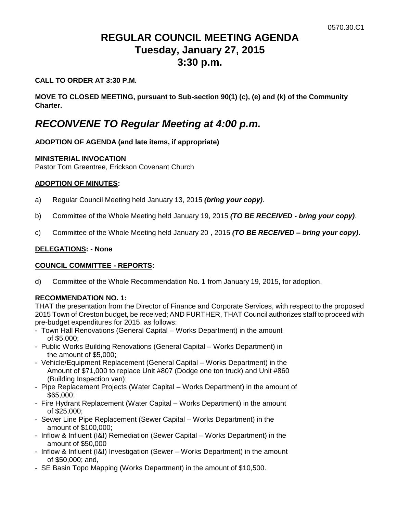# **REGULAR COUNCIL MEETING AGENDA Tuesday, January 27, 2015 3:30 p.m.**

## **CALL TO ORDER AT 3:30 P.M.**

**MOVE TO CLOSED MEETING, pursuant to Sub-section 90(1) (c), (e) and (k) of the Community Charter.**

# *RECONVENE TO Regular Meeting at 4:00 p.m.*

# **ADOPTION OF AGENDA (and late items, if appropriate)**

## **MINISTERIAL INVOCATION**

Pastor Tom Greentree, Erickson Covenant Church

## **ADOPTION OF MINUTES:**

- a) Regular Council Meeting held January 13, 2015 *(bring your copy)*.
- b) Committee of the Whole Meeting held January 19, 2015 *(TO BE RECEIVED - bring your copy)*.
- c) Committee of the Whole Meeting held January 20 , 2015 *(TO BE RECEIVED – bring your copy)*.

## **DELEGATIONS: - None**

## **COUNCIL COMMITTEE - REPORTS:**

d) Committee of the Whole Recommendation No. 1 from January 19, 2015, for adoption.

## **RECOMMENDATION NO. 1:**

THAT the presentation from the Director of Finance and Corporate Services, with respect to the proposed 2015 Town of Creston budget, be received; AND FURTHER, THAT Council authorizes staff to proceed with pre-budget expenditures for 2015, as follows:

- Town Hall Renovations (General Capital Works Department) in the amount of \$5,000;
- Public Works Building Renovations (General Capital Works Department) in the amount of \$5,000;
- Vehicle/Equipment Replacement (General Capital Works Department) in the Amount of \$71,000 to replace Unit #807 (Dodge one ton truck) and Unit #860 (Building Inspection van);
- Pipe Replacement Projects (Water Capital Works Department) in the amount of \$65,000;
- Fire Hydrant Replacement (Water Capital Works Department) in the amount of \$25,000;
- Sewer Line Pipe Replacement (Sewer Capital Works Department) in the amount of \$100,000;
- Inflow & Influent (I&I) Remediation (Sewer Capital Works Department) in the amount of \$50,000
- Inflow & Influent (I&I) Investigation (Sewer Works Department) in the amount of \$50,000; and,
- SE Basin Topo Mapping (Works Department) in the amount of \$10,500.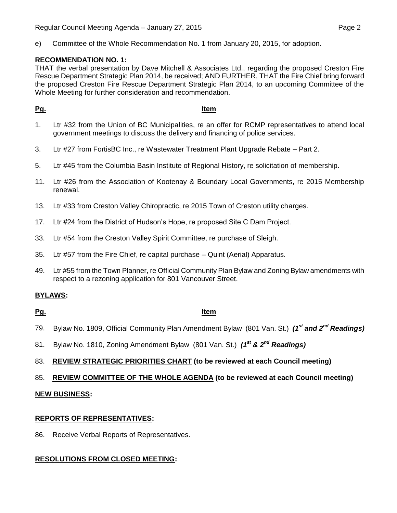e) Committee of the Whole Recommendation No. 1 from January 20, 2015, for adoption.

# **RECOMMENDATION NO. 1:**

THAT the verbal presentation by Dave Mitchell & Associates Ltd., regarding the proposed Creston Fire Rescue Department Strategic Plan 2014, be received; AND FURTHER, THAT the Fire Chief bring forward the proposed Creston Fire Rescue Department Strategic Plan 2014, to an upcoming Committee of the Whole Meeting for further consideration and recommendation.

# **Pg. Item**

- 1. Ltr #32 from the Union of BC Municipalities, re an offer for RCMP representatives to attend local government meetings to discuss the delivery and financing of police services.
- 3. Ltr #27 from FortisBC Inc., re Wastewater Treatment Plant Upgrade Rebate Part 2.
- 5. Ltr #45 from the Columbia Basin Institute of Regional History, re solicitation of membership.
- 11. Ltr #26 from the Association of Kootenay & Boundary Local Governments, re 2015 Membership renewal.
- 13. Ltr #33 from Creston Valley Chiropractic, re 2015 Town of Creston utility charges.
- 17. Ltr #24 from the District of Hudson's Hope, re proposed Site C Dam Project.
- 33. Ltr #54 from the Creston Valley Spirit Committee, re purchase of Sleigh.
- 35. Ltr #57 from the Fire Chief, re capital purchase Quint (Aerial) Apparatus.
- 49. Ltr #55 from the Town Planner, re Official Community Plan Bylaw and Zoning Bylaw amendments with respect to a rezoning application for 801 Vancouver Street.

# **BYLAWS:**

# **Pg. Item**

- 79. Bylaw No. 1809, Official Community Plan Amendment Bylaw (801 Van. St.) *(1st and 2nd Readings)*
- 81. Bylaw No. 1810, Zoning Amendment Bylaw (801 Van. St.) *(1st & 2nd Readings)*

# 83. **REVIEW STRATEGIC PRIORITIES CHART (to be reviewed at each Council meeting)**

## 85. **REVIEW COMMITTEE OF THE WHOLE AGENDA (to be reviewed at each Council meeting)**

## **NEW BUSINESS:**

# **REPORTS OF REPRESENTATIVES:**

86. Receive Verbal Reports of Representatives.

# **RESOLUTIONS FROM CLOSED MEETING:**